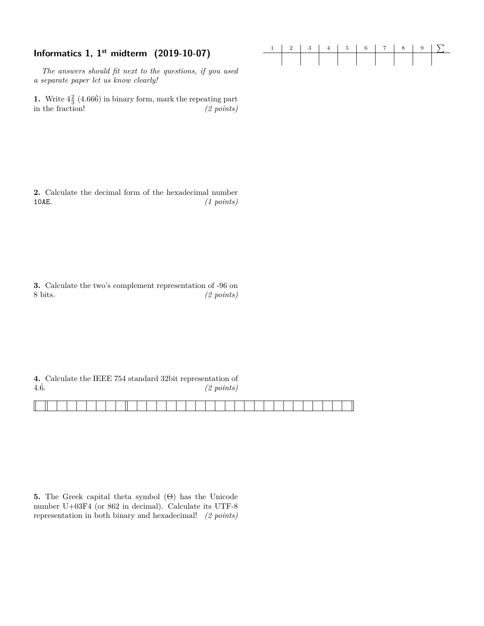# **Informatics 1, 1<sup>st</sup> midterm (2019-10-07)**

*The answers should fit next to the questions, if you used a separate paper let us know clearly!*

**1.** Write  $4\frac{2}{3}$  (4.666<sup>c</sup>) in binary form, mark the repeating part in the fraction! *(2 points)*

**2.** Calculate the decimal form of the hexadecimal number 10AE. *(1 points)*

**3.** Calculate the two's complement representation of -96 on 8 bits. *(2 points)*

**4.** Calculate the IEEE 754 standard 32bit representation of 4*.*6˙. *(2 points)*

**5.** The Greek capital theta symbol (Θ) has the Unicode number U+03F4 (or 862 in decimal). Calculate its UTF-8 representation in both binary and hexadecimal! *(2 points)*

|  |  | $1 \ 2 \ 3 \ 4 \ 5 \ 6 \ 7 \ 8 \ 9 \ \n\mathcal{S}$ |  |  |
|--|--|-----------------------------------------------------|--|--|
|  |  |                                                     |  |  |